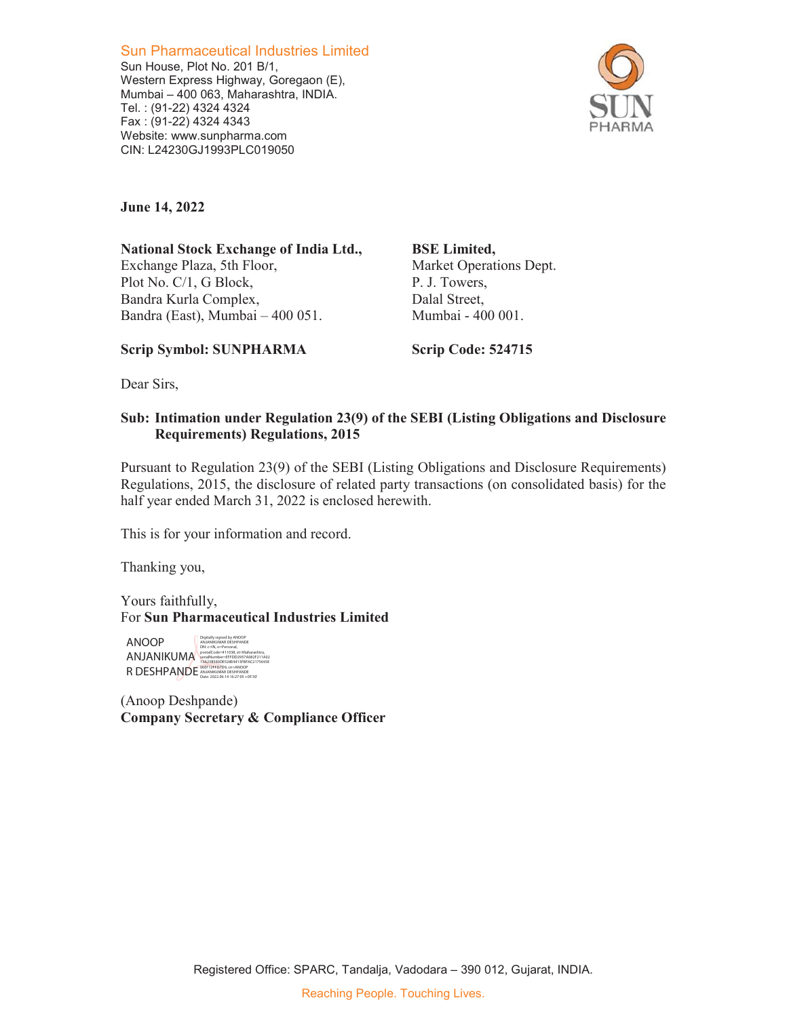Sun Pharmaceutical Industries Limited Sun House, Plot No. 201 B/1, Western Express Highway, Goregaon (E), Mumbai – 400 063, Maharashtra, INDIA. Tel. : (91-22) 4324 4324 Fax : (91-22) 4324 4343 Website: www.sunpharma.com CIN: L24230GJ1993PLC019050



**June 14, 2022** 

**National Stock Exchange of India Ltd.,**  Exchange Plaza, 5th Floor, Plot No. C/1, G Block, Bandra Kurla Complex, Bandra (East), Mumbai – 400 051.

**BSE Limited,**  Market Operations Dept. P. J. Towers, Dalal Street, Mumbai - 400 001.

## **Scrip Symbol: SUNPHARMA**

**Scrip Code: 524715** 

Dear Sirs,

## **Sub: Intimation under Regulation 23(9) of the SEBI (Listing Obligations and Disclosure Requirements) Regulations, 2015**

Pursuant to Regulation 23(9) of the SEBI (Listing Obligations and Disclosure Requirements) Regulations, 2015, the disclosure of related party transactions (on consolidated basis) for the half year ended March 31, 2022 is enclosed herewith.

This is for your information and record.

Thanking you,

Yours faithfully, For **Sun Pharmaceutical Industries Limited** 

ANOOP ANJANIKUMA R DESHPANDE Digitally signed by ANOOP ANJANIKUMAR DESHPANDE<br>DN: c=IN, o=Personal,<br>postalCode=411038, st=Maharashtra,<br>serialNumber=EFFDD2957A082F211A02<br>13A23BS83DE528E4413FBFAC2175693E<br>06EF12FFD7D9, cn=ANOOP<br>ANte: 2022.06.14 16:27:05 +05'30'

(Anoop Deshpande) **Company Secretary & Compliance Officer**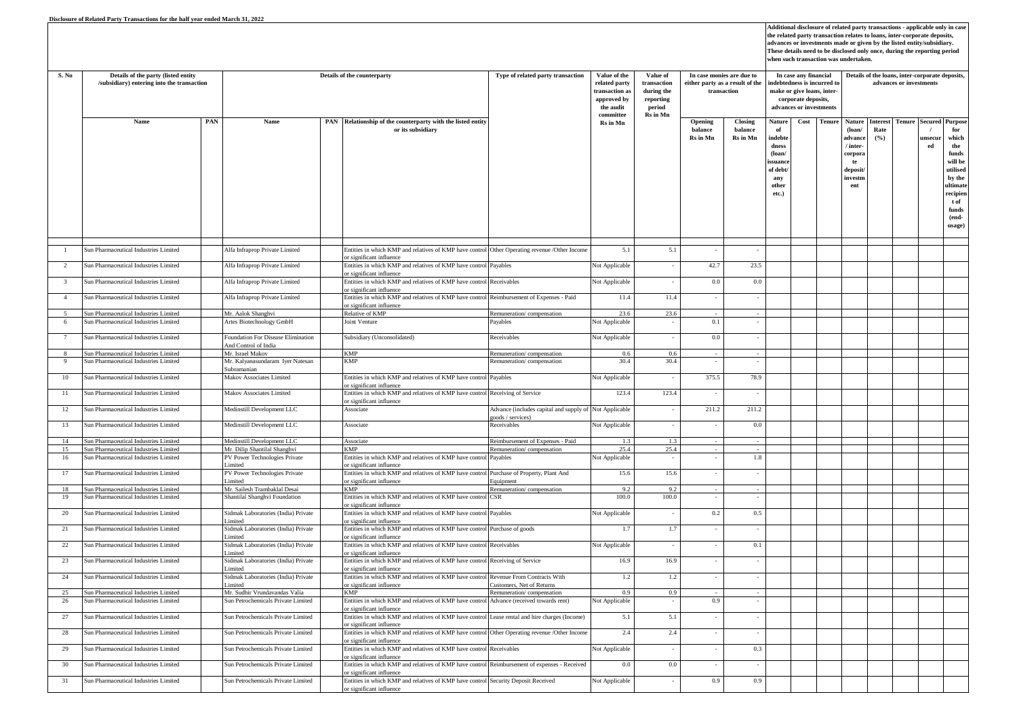| S. No          | Details of the party (listed entity<br>/subsidiary) entering into the transaction |     | Details of the counterparty                                |  |                                                                                                                                                        | Type of related party transaction                                         | Value of the<br>related party<br>ransaction as<br>approved by<br>the audit | Value of<br>transaction<br>during the<br>reporting<br>period | In case monies are due to<br>either party as a result of the<br>transaction |                                | In case any financial<br>indebtedness is incurred to<br>make or give loans, inter-<br>corporate deposits,<br>advances or investments |      |               | Details of the loans, inter-corporate deposits,<br>advances or investments                 |                                |               |                                        |                                                                                                                          |  |
|----------------|-----------------------------------------------------------------------------------|-----|------------------------------------------------------------|--|--------------------------------------------------------------------------------------------------------------------------------------------------------|---------------------------------------------------------------------------|----------------------------------------------------------------------------|--------------------------------------------------------------|-----------------------------------------------------------------------------|--------------------------------|--------------------------------------------------------------------------------------------------------------------------------------|------|---------------|--------------------------------------------------------------------------------------------|--------------------------------|---------------|----------------------------------------|--------------------------------------------------------------------------------------------------------------------------|--|
|                | Name                                                                              | PAN | Name                                                       |  | PAN Relationship of the counterparty with the listed entity<br>or its subsidiary                                                                       |                                                                           | committee<br>Rs in Mn                                                      | Rs in Mn                                                     | Opening<br>halance<br>Rs in Mn                                              | Closing<br>balance<br>Rs in Mn | Nature<br>of<br>indebte<br>dness<br>$($ loan $/$<br>ssuanc<br>of debt<br>any<br>other<br>etc.)                                       | Cost | <b>Tenure</b> | Nature<br>$($ loan $/$<br>advance<br>/ inter-<br>corpor<br>te<br>deposit<br>investn<br>ent | <b>Interest</b><br>Rate<br>(%) | <b>Tenure</b> | <b>Secured Purpos</b><br>unsecui<br>ed | for<br>which<br>the<br>funds<br>will be<br>utilised<br>by the<br>ultimat<br>recipier<br>t of<br>funds<br>(end-<br>usage) |  |
| $\mathbf{1}$   | Sun Pharmaceutical Industries Limited                                             |     | Alfa Infraprop Private Limited                             |  | Entities in which KMP and relatives of KMP have control Other Operating revenue /Other Income<br>or significant influence                              |                                                                           | 5.1                                                                        | 5.1                                                          |                                                                             |                                |                                                                                                                                      |      |               |                                                                                            |                                |               |                                        |                                                                                                                          |  |
| $\overline{2}$ | Sun Pharmaceutical Industries Limited                                             |     | Alfa Infraprop Private Limited                             |  | Entities in which KMP and relatives of KMP have control<br>or significant influence                                                                    | Payables                                                                  | Not Applicable                                                             |                                                              | 42.7                                                                        | 23.5                           |                                                                                                                                      |      |               |                                                                                            |                                |               |                                        |                                                                                                                          |  |
| $\overline{3}$ | Sun Pharmaceutical Industries Limited                                             |     | Alfa Infraprop Private Limited                             |  | Entities in which KMP and relatives of KMP have control                                                                                                | Receivables                                                               | Not Applicable                                                             |                                                              | $0.0\,$                                                                     | 0.0                            |                                                                                                                                      |      |               |                                                                                            |                                |               |                                        |                                                                                                                          |  |
| $\overline{4}$ | Sun Pharmaceutical Industries Limited                                             |     | Alfa Infraprop Private Limited                             |  | or significant influence<br>Entities in which KMP and relatives of KMP have control Reimbursement of Expenses - Paid<br>or significant influence       |                                                                           | 11.4                                                                       | 11.4                                                         | $\sim$                                                                      |                                |                                                                                                                                      |      |               |                                                                                            |                                |               |                                        |                                                                                                                          |  |
|                | Sun Pharmaceutical Industries Limited                                             |     | Mr. Aalok Shanghvi                                         |  | Relative of KMP                                                                                                                                        | Remuneration/compensation                                                 | 23.6                                                                       | 23.6                                                         |                                                                             |                                |                                                                                                                                      |      |               |                                                                                            |                                |               |                                        |                                                                                                                          |  |
| 6              | un Pharmaceutical Industries Limited                                              |     | Artes Biotechnology GmbH                                   |  | Joint Venture                                                                                                                                          | Payables                                                                  | <b>Not Applicable</b>                                                      |                                                              | 0.1                                                                         |                                |                                                                                                                                      |      |               |                                                                                            |                                |               |                                        |                                                                                                                          |  |
| 7              | Sun Pharmaceutical Industries Limited                                             |     | Foundation For Disease Elimination<br>And Control of India |  | Subsidiary (Unconsolidated)                                                                                                                            | Receivables                                                               | Not Applicable                                                             |                                                              | $0.0\,$                                                                     |                                |                                                                                                                                      |      |               |                                                                                            |                                |               |                                        |                                                                                                                          |  |
| $\mathbf{R}$   | Sun Pharmaceutical Industries Limited                                             |     | Mr. Israel Makov                                           |  | <b>KMP</b>                                                                                                                                             | Remuneration/compensation                                                 | 06                                                                         | 0.6                                                          |                                                                             |                                |                                                                                                                                      |      |               |                                                                                            |                                |               |                                        |                                                                                                                          |  |
| 9              | Sun Pharmaceutical Industries Limited                                             |     | Mr. Kalyanasundaram Iyer Natesan<br>Subramanian            |  | <b>KMP</b>                                                                                                                                             | Remuneration/compensation                                                 | 30.4                                                                       | 30.4                                                         |                                                                             |                                |                                                                                                                                      |      |               |                                                                                            |                                |               |                                        |                                                                                                                          |  |
| 10             | Sun Pharmaceutical Industries Limited                                             |     | Makov Associates Limited                                   |  | Entities in which KMP and relatives of KMP have control Payables<br>or significant influence                                                           |                                                                           | Not Applicable                                                             |                                                              | 375.5                                                                       | 78.9                           |                                                                                                                                      |      |               |                                                                                            |                                |               |                                        |                                                                                                                          |  |
| 11             | Sun Pharmaceutical Industries Limited                                             |     | Makov Associates Limited                                   |  | Entities in which KMP and relatives of KMP have control Receiving of Service<br>or significant influence                                               |                                                                           | 123.4                                                                      | 123.4                                                        |                                                                             |                                |                                                                                                                                      |      |               |                                                                                            |                                |               |                                        |                                                                                                                          |  |
| 12             | Sun Pharmaceutical Industries Limited                                             |     | Medinstill Development LLC                                 |  | Associate                                                                                                                                              | Advance (includes capital and supply of Not Applicable<br>oods / services |                                                                            |                                                              | 211.2                                                                       | 211.2                          |                                                                                                                                      |      |               |                                                                                            |                                |               |                                        |                                                                                                                          |  |
| 13             | Sun Pharmaceutical Industries Limited                                             |     | Medinstill Development LLC                                 |  | Associate                                                                                                                                              | Receivables                                                               | Not Applicable                                                             |                                                              |                                                                             | 0.0                            |                                                                                                                                      |      |               |                                                                                            |                                |               |                                        |                                                                                                                          |  |
| 14             | Sun Pharmaceutical Industries Limited                                             |     | Medinstill Development LLC                                 |  | Associate                                                                                                                                              | Reimbursement of Expenses - Paid                                          |                                                                            | 1.3                                                          |                                                                             |                                |                                                                                                                                      |      |               |                                                                                            |                                |               |                                        |                                                                                                                          |  |
| 15             | Sun Pharmaceutical Industries Limited                                             |     | Mr. Dilip Shantilal Shanghvi                               |  | <b>KMP</b>                                                                                                                                             | Remuneration/compensation                                                 | 25.4                                                                       | 25.4                                                         |                                                                             |                                |                                                                                                                                      |      |               |                                                                                            |                                |               |                                        |                                                                                                                          |  |
| 16             | Sun Pharmaceutical Industries Limited                                             |     | PV Power Technologies Private<br>Limited                   |  | Entities in which KMP and relatives of KMP have control<br>or significant influence                                                                    | Payables                                                                  | <b>Not Applicable</b>                                                      |                                                              |                                                                             | 1.8                            |                                                                                                                                      |      |               |                                                                                            |                                |               |                                        |                                                                                                                          |  |
| 17             | Sun Pharmaceutical Industries Limited                                             |     | PV Power Technologies Private<br>Limited                   |  | Entities in which KMP and relatives of KMP have control Purchase of Property, Plant And<br>or significant influence                                    | Equipment                                                                 | 15.6                                                                       | 15.6                                                         |                                                                             |                                |                                                                                                                                      |      |               |                                                                                            |                                |               |                                        |                                                                                                                          |  |
| 18             | Sun Pharmaceutical Industries Limited                                             |     | Mr. Sailesh Trambaklal Desai                               |  | <b>KMP</b>                                                                                                                                             | Remuneration/compensation                                                 | 9.2                                                                        | 9.2                                                          |                                                                             |                                |                                                                                                                                      |      |               |                                                                                            |                                |               |                                        |                                                                                                                          |  |
| 19             | Sun Pharmaceutical Industries Limited                                             |     | Shantilal Shanghvi Foundation                              |  | Entities in which KMP and relatives of KMP have control<br>r significant influence                                                                     | <b>CSR</b>                                                                | 100.0                                                                      | 100.0                                                        |                                                                             |                                |                                                                                                                                      |      |               |                                                                                            |                                |               |                                        |                                                                                                                          |  |
| 20             | Sun Pharmaceutical Industries Limited                                             |     | Sidmak Laboratories (India) Private<br>imited              |  | Entities in which KMP and relatives of KMP have control Payables<br>or significant influence                                                           |                                                                           | Not Applicable                                                             |                                                              | $0.2\,$                                                                     | 0.5                            |                                                                                                                                      |      |               |                                                                                            |                                |               |                                        |                                                                                                                          |  |
| 21             | Sun Pharmaceutical Industries Limited                                             |     | Sidmak Laboratories (India) Private<br>imited              |  | Entities in which KMP and relatives of KMP have control<br>or significant influence                                                                    | Purchase of goods                                                         | 1.7                                                                        | 1.7                                                          |                                                                             | $\sim$                         |                                                                                                                                      |      |               |                                                                                            |                                |               |                                        |                                                                                                                          |  |
| 22             | Sun Pharmaceutical Industries Limited                                             |     | Sidmak Laboratories (India) Private<br>imited              |  | Entities in which KMP and relatives of KMP have control<br>or significant influence                                                                    | Receivables                                                               | Not Applicable                                                             |                                                              |                                                                             | 0.1                            |                                                                                                                                      |      |               |                                                                                            |                                |               |                                        |                                                                                                                          |  |
| 23             | Sun Pharmaceutical Industries Limited                                             |     | Sidmak Laboratories (India) Private<br>imited              |  | Entities in which KMP and relatives of KMP have control Receiving of Service<br>or significant influence                                               |                                                                           | 16.9                                                                       | 16.9                                                         |                                                                             |                                |                                                                                                                                      |      |               |                                                                                            |                                |               |                                        |                                                                                                                          |  |
| 24             | Sun Pharmaceutical Industries Limited                                             |     | Sidmak Laboratories (India) Private<br>imited              |  | Entities in which KMP and relatives of KMP have control Revenue From Contracts With<br>or significant influence                                        | Customers, Net of Returns                                                 | 1.2                                                                        | $1.2\,$                                                      |                                                                             |                                |                                                                                                                                      |      |               |                                                                                            |                                |               |                                        |                                                                                                                          |  |
| 25             | Sun Pharmaceutical Industries Limited                                             |     | Mr. Sudhir Vrundavandas Valia                              |  | <b>KMP</b>                                                                                                                                             | Remuneration/compensation                                                 | 0.9                                                                        | 0.9                                                          |                                                                             |                                |                                                                                                                                      |      |               |                                                                                            |                                |               |                                        |                                                                                                                          |  |
| 26             | un Pharmaceutical Industries Limited                                              |     | Sun Petrochemicals Private Limited                         |  | Entities in which KMP and relatives of KMP have control                                                                                                | Advance (received towards rent)                                           | <b>Not Applicable</b>                                                      |                                                              | 0.9                                                                         |                                |                                                                                                                                      |      |               |                                                                                            |                                |               |                                        |                                                                                                                          |  |
| 27             | Sun Pharmaceutical Industries Limited                                             |     | Sun Petrochemicals Private Limited                         |  | or significant influence<br>Entities in which KMP and relatives of KMP have control Lease rental and hire charges (Income)<br>or significant influence |                                                                           | 5.1                                                                        | 5.1                                                          |                                                                             |                                |                                                                                                                                      |      |               |                                                                                            |                                |               |                                        |                                                                                                                          |  |
| 28             | Sun Pharmaceutical Industries Limited                                             |     | Sun Petrochemicals Private Limited                         |  | Entities in which KMP and relatives of KMP have control Other Operating revenue /Other Income<br>or significant influence                              |                                                                           | 2.4                                                                        | 2.4                                                          |                                                                             | $\overline{\phantom{a}}$       |                                                                                                                                      |      |               |                                                                                            |                                |               |                                        |                                                                                                                          |  |
| 29             | Sun Pharmaceutical Industries Limited                                             |     | Sun Petrochemicals Private Limited                         |  | Entities in which KMP and relatives of KMP have control Receivables<br>or significant influence                                                        |                                                                           | Not Applicable                                                             |                                                              | ×                                                                           | 0.3                            |                                                                                                                                      |      |               |                                                                                            |                                |               |                                        |                                                                                                                          |  |
| 30             | Sun Pharmaceutical Industries Limited                                             |     | Sun Petrochemicals Private Limited                         |  | Entities in which KMP and relatives of KMP have control Reimbursement of expenses - Received<br>or significant influence                               |                                                                           | 0.0                                                                        | 0.0                                                          |                                                                             |                                |                                                                                                                                      |      |               |                                                                                            |                                |               |                                        |                                                                                                                          |  |
| 31             | Sun Pharmaceutical Industries Limited                                             |     | Sun Petrochemicals Private Limited                         |  | Entities in which KMP and relatives of KMP have control Security Deposit Received<br>or significant influence                                          |                                                                           | <b>Not Applicable</b>                                                      |                                                              | 0.9                                                                         | 0.9                            |                                                                                                                                      |      |               |                                                                                            |                                |               |                                        |                                                                                                                          |  |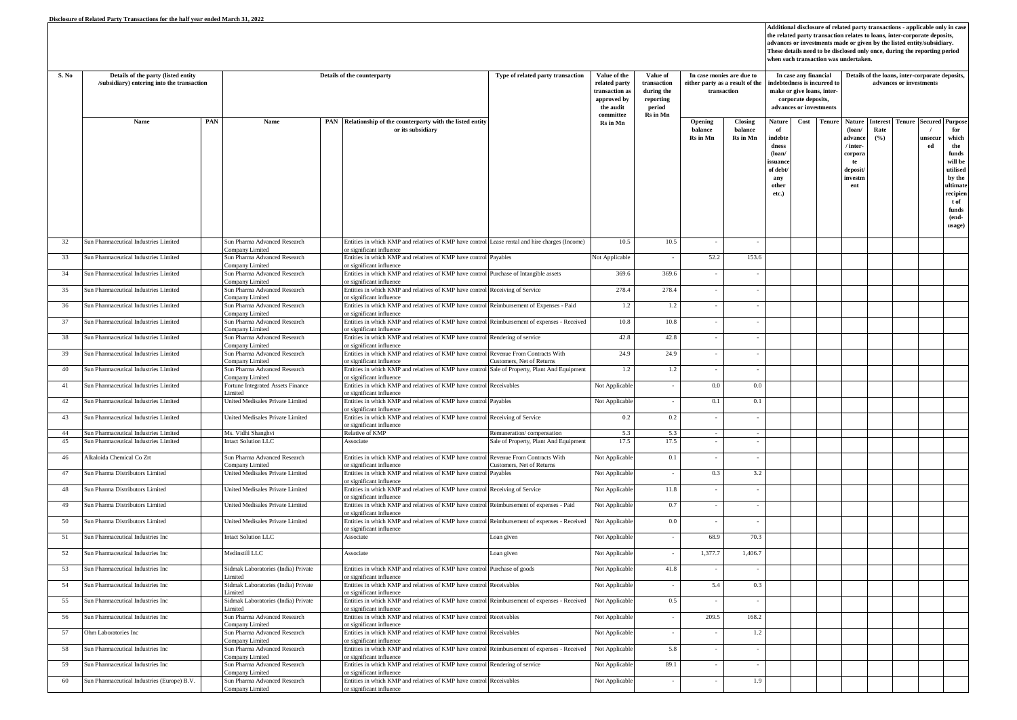| S. No | Details of the party (listed entity<br>/subsidiary) entering into the transaction |     | Details of the counterparty                     |  |                                                                                                                           |                                                          | Value of the<br>related party<br>ransaction as<br>approved by<br>the audit<br>$\mathbf{commit}$ | Value of<br>transaction<br>during the<br>reporting<br>period<br>Rs in Mn | In case monies are due to<br>either party as a result of the<br>transaction |                                | In case any financial<br>ndebtedness is incurred to<br>make or give loans, inter-<br>corporate deposits,<br>advances or investments |      | Details of the loans, inter-corporate deposits,<br>advances or investments |                                                                                                   |                                |               |                           |                                                                                                                                                     |  |
|-------|-----------------------------------------------------------------------------------|-----|-------------------------------------------------|--|---------------------------------------------------------------------------------------------------------------------------|----------------------------------------------------------|-------------------------------------------------------------------------------------------------|--------------------------------------------------------------------------|-----------------------------------------------------------------------------|--------------------------------|-------------------------------------------------------------------------------------------------------------------------------------|------|----------------------------------------------------------------------------|---------------------------------------------------------------------------------------------------|--------------------------------|---------------|---------------------------|-----------------------------------------------------------------------------------------------------------------------------------------------------|--|
|       | Name                                                                              | PAN | Name                                            |  | PAN Relationship of the counterparty with the listed entity<br>or its subsidiary                                          |                                                          | Rs in Mn                                                                                        |                                                                          | Opening<br>halance<br>Rs in Mn                                              | Closing<br>halance<br>Rs in Mn | Nature<br>of<br>indebte<br>dness<br>$($ loan<br>ssuand<br>of debt<br>any<br>other<br>etc.)                                          | Cost | Tenure                                                                     | <b>Nature</b><br>$($ loan $/$<br>advanc<br>/ inter-<br>corpora<br>te<br>deposit<br>investn<br>ent | <b>Interest</b><br>Rate<br>(%) | <b>Tenure</b> | $\prime$<br>unsecui<br>ed | <b>Secured Purpose</b><br>for<br>which<br>the<br>funds<br>will be<br>utilised<br>by the<br>ultimate<br>recipien<br>t of<br>funds<br>(end-<br>usage) |  |
| 32    | Sun Pharmaceutical Industries Limited                                             |     | Sun Pharma Advanced Research<br>Company Limited |  | Entities in which KMP and relatives of KMP have control Lease rental and hire charges (Income)<br>r significant influence |                                                          | 10.5                                                                                            | 10.5                                                                     |                                                                             |                                |                                                                                                                                     |      |                                                                            |                                                                                                   |                                |               |                           |                                                                                                                                                     |  |
| 33    | Sun Pharmaceutical Industries Limited                                             |     | Sun Pharma Advanced Research<br>Company Limited |  | Entities in which KMP and relatives of KMP have control<br>or significant influence                                       | Payables                                                 | Not Applicable                                                                                  |                                                                          | 52.2                                                                        | 153.6                          |                                                                                                                                     |      |                                                                            |                                                                                                   |                                |               |                           |                                                                                                                                                     |  |
| 34    | Sun Pharmaceutical Industries Limited                                             |     | Sun Pharma Advanced Research<br>Company Limited |  | Entities in which KMP and relatives of KMP have control Purchase of Intangible assets<br>or significant influence         |                                                          | 369.6                                                                                           | 369.6                                                                    |                                                                             |                                |                                                                                                                                     |      |                                                                            |                                                                                                   |                                |               |                           |                                                                                                                                                     |  |
| 35    | Sun Pharmaceutical Industries Limited                                             |     | Sun Pharma Advanced Research<br>Company Limited |  | Entities in which KMP and relatives of KMP have control<br>or significant influence                                       | Receiving of Service                                     | 278.4                                                                                           | 278.4                                                                    | ÷,                                                                          |                                |                                                                                                                                     |      |                                                                            |                                                                                                   |                                |               |                           |                                                                                                                                                     |  |
| 36    | Sun Pharmaceutical Industries Limited                                             |     | Sun Pharma Advanced Research<br>Company Limited |  | Entities in which KMP and relatives of KMP have control<br>r significant influence                                        | Reimbursement of Expenses - Paid                         | 1.2                                                                                             | 1.2                                                                      |                                                                             |                                |                                                                                                                                     |      |                                                                            |                                                                                                   |                                |               |                           |                                                                                                                                                     |  |
| 37    | Sun Pharmaceutical Industries Limited                                             |     | Sun Pharma Advanced Research<br>Company Limited |  | Entities in which KMP and relatives of KMP have control Reimbursement of expenses - Received<br>r significant influence   |                                                          | 10.8                                                                                            | 10.8                                                                     |                                                                             |                                |                                                                                                                                     |      |                                                                            |                                                                                                   |                                |               |                           |                                                                                                                                                     |  |
| 38    | Sun Pharmaceutical Industries Limited                                             |     | Sun Pharma Advanced Research<br>Company Limited |  | Entities in which KMP and relatives of KMP have control Rendering of service<br>or significant influence                  |                                                          | 42.8                                                                                            | 42.8                                                                     |                                                                             |                                |                                                                                                                                     |      |                                                                            |                                                                                                   |                                |               |                           |                                                                                                                                                     |  |
| 39    | Sun Pharmaceutical Industries Limited                                             |     | Sun Pharma Advanced Research<br>Company Limited |  | Entities in which KMP and relatives of KMP have control<br>or significant influence                                       | Revenue From Contracts With<br>Customers, Net of Returns | 24.9                                                                                            | 24.9                                                                     |                                                                             |                                |                                                                                                                                     |      |                                                                            |                                                                                                   |                                |               |                           |                                                                                                                                                     |  |
| 40    | Sun Pharmaceutical Industries Limited                                             |     | Sun Pharma Advanced Research<br>Company Limited |  | Entities in which KMP and relatives of KMP have control Sale of Property, Plant And Equipment<br>or significant influence |                                                          | 1.2                                                                                             | 1.2                                                                      |                                                                             |                                |                                                                                                                                     |      |                                                                            |                                                                                                   |                                |               |                           |                                                                                                                                                     |  |
| 41    | Sun Pharmaceutical Industries Limited                                             |     | Fortune Integrated Assets Finance<br>imited     |  | Entities in which KMP and relatives of KMP have control Receivables<br>or significant influence                           |                                                          | Not Applicable                                                                                  |                                                                          | $0.0\,$                                                                     | 0.0                            |                                                                                                                                     |      |                                                                            |                                                                                                   |                                |               |                           |                                                                                                                                                     |  |
| 42    | Sun Pharmaceutical Industries Limited                                             |     | United Medisales Private Limited                |  | Entities in which KMP and relatives of KMP have control<br>or significant influence                                       | Payables                                                 | Not Applicable                                                                                  | $\sim$                                                                   | $0.1\,$                                                                     | 0.1                            |                                                                                                                                     |      |                                                                            |                                                                                                   |                                |               |                           |                                                                                                                                                     |  |
| 43    | Sun Pharmaceutical Industries Limited                                             |     | United Medisales Private Limited                |  | Entities in which KMP and relatives of KMP have control Receiving of Service<br>or significant influence                  |                                                          | 0.2                                                                                             | 0.2                                                                      |                                                                             |                                |                                                                                                                                     |      |                                                                            |                                                                                                   |                                |               |                           |                                                                                                                                                     |  |
| 44    | Sun Pharmaceutical Industries Limited                                             |     | Ms. Vidhi Shanghvi                              |  | Relative of KMP                                                                                                           | Remuneration/compensation                                | 5.3                                                                                             | 5.3                                                                      |                                                                             |                                |                                                                                                                                     |      |                                                                            |                                                                                                   |                                |               |                           |                                                                                                                                                     |  |
| 45    | Sun Pharmaceutical Industries Limited                                             |     | Intact Solution LLC                             |  | Associate                                                                                                                 | Sale of Property, Plant And Equipment                    | 17.5                                                                                            | 17.5                                                                     |                                                                             |                                |                                                                                                                                     |      |                                                                            |                                                                                                   |                                |               |                           |                                                                                                                                                     |  |
| 46    | Alkaloida Chemical Co Zrt                                                         |     | Sun Pharma Advanced Research<br>Company Limited |  | Entities in which KMP and relatives of KMP have control<br>or significant influence                                       | Revenue From Contracts With<br>Customers, Net of Returns | Not Applicable                                                                                  | 0.1                                                                      | $\sim$                                                                      | $\sim$                         |                                                                                                                                     |      |                                                                            |                                                                                                   |                                |               |                           |                                                                                                                                                     |  |
| 47    | Sun Pharma Distributors Limited                                                   |     | United Medisales Private Limited                |  | Entities in which KMP and relatives of KMP have control<br>or significant influence                                       | Payables                                                 | Not Applicable                                                                                  |                                                                          | 0.3                                                                         | 3.2                            |                                                                                                                                     |      |                                                                            |                                                                                                   |                                |               |                           |                                                                                                                                                     |  |
| 48    | Sun Pharma Distributors Limited                                                   |     | United Medisales Private Limited                |  | Entities in which KMP and relatives of KMP have control<br>or significant influence                                       | Receiving of Service                                     | Not Applicable                                                                                  | 11.8                                                                     | $\sim$                                                                      |                                |                                                                                                                                     |      |                                                                            |                                                                                                   |                                |               |                           |                                                                                                                                                     |  |
| 49    | Sun Pharma Distributors Limited                                                   |     | Jnited Medisales Private Limited                |  | Entities in which KMP and relatives of KMP have control Reimbursement of expenses - Paid<br>or significant influence      |                                                          | Not Applicable                                                                                  | 0.7                                                                      |                                                                             |                                |                                                                                                                                     |      |                                                                            |                                                                                                   |                                |               |                           |                                                                                                                                                     |  |
| 50    | Sun Pharma Distributors Limited                                                   |     | United Medisales Private Limited                |  | Entities in which KMP and relatives of KMP have control Reimbursement of expenses - Received<br>or significant influence  |                                                          | Not Applicable                                                                                  | 0.0                                                                      | ×.                                                                          |                                |                                                                                                                                     |      |                                                                            |                                                                                                   |                                |               |                           |                                                                                                                                                     |  |
| 51    | Sun Pharmaceutical Industries Inc                                                 |     | Intact Solution LLC                             |  | Associate                                                                                                                 | Loan given                                               | Not Applicable                                                                                  |                                                                          | 68.9                                                                        | 70.3                           |                                                                                                                                     |      |                                                                            |                                                                                                   |                                |               |                           |                                                                                                                                                     |  |
| 52    | Sun Pharmaceutical Industries Inc                                                 |     | Medinstill LLC                                  |  | Associate                                                                                                                 | Loan given                                               | Not Applicable                                                                                  |                                                                          | 1,377.7                                                                     | 1,406.7                        |                                                                                                                                     |      |                                                                            |                                                                                                   |                                |               |                           |                                                                                                                                                     |  |
| 53    | Sun Pharmaceutical Industries Inc                                                 |     | Sidmak Laboratories (India) Private             |  | Entities in which KMP and relatives of KMP have control Purchase of goods                                                 |                                                          | Not Applicable                                                                                  | 41.8                                                                     | ×                                                                           |                                |                                                                                                                                     |      |                                                                            |                                                                                                   |                                |               |                           |                                                                                                                                                     |  |
| 54    | Sun Pharmaceutical Industries Inc                                                 |     | imited<br>Sidmak Laboratories (India) Private   |  | or significant influence<br>Entities in which KMP and relatives of KMP have control Receivables                           |                                                          | Not Applicable                                                                                  |                                                                          | 5.4                                                                         | 0.3                            |                                                                                                                                     |      |                                                                            |                                                                                                   |                                |               |                           |                                                                                                                                                     |  |
| 55    | Sun Pharmaceutical Industries Inc                                                 |     | .imited<br>Sidmak Laboratories (India) Private  |  | r significant influence<br>Entities in which KMP and relatives of KMP have control Reimbursement of expenses - Received   |                                                          | Not Applicable                                                                                  | 0.5                                                                      |                                                                             |                                |                                                                                                                                     |      |                                                                            |                                                                                                   |                                |               |                           |                                                                                                                                                     |  |
| 56    | Sun Pharmaceutical Industries Inc                                                 |     | imited<br>Sun Pharma Advanced Research          |  | r significant influence<br>Entities in which KMP and relatives of KMP have control Receivables                            |                                                          | Not Applicable                                                                                  |                                                                          | 209.5                                                                       | 168.2                          |                                                                                                                                     |      |                                                                            |                                                                                                   |                                |               |                           |                                                                                                                                                     |  |
| 57    | Ohm Laboratories Inc                                                              |     | Company Limited<br>Sun Pharma Advanced Research |  | or significant influence<br>Entities in which KMP and relatives of KMP have control                                       | Receivables                                              | Not Applicable                                                                                  |                                                                          |                                                                             | 1.2                            |                                                                                                                                     |      |                                                                            |                                                                                                   |                                |               |                           |                                                                                                                                                     |  |
| 58    | Sun Pharmaceutical Industries Inc                                                 |     | Company Limited<br>Sun Pharma Advanced Research |  | or significant influence<br>Entities in which KMP and relatives of KMP have control Reimbursement of expenses - Received  |                                                          | Not Applicable                                                                                  | 5.8                                                                      |                                                                             |                                |                                                                                                                                     |      |                                                                            |                                                                                                   |                                |               |                           |                                                                                                                                                     |  |
| 59    | Sun Pharmaceutical Industries Inc                                                 |     | Company Limited<br>Sun Pharma Advanced Research |  | or significant influence<br>Entities in which KMP and relatives of KMP have control                                       | Rendering of service                                     | Not Applicable                                                                                  | 89.1                                                                     |                                                                             |                                |                                                                                                                                     |      |                                                                            |                                                                                                   |                                |               |                           |                                                                                                                                                     |  |
| 60    | Sun Pharmaceutical Industries (Europe) B.V.                                       |     | Company Limited<br>Sun Pharma Advanced Research |  | or significant influence<br>Entities in which KMP and relatives of KMP have control Receivables                           |                                                          | Not Applicable                                                                                  |                                                                          | $\sim$                                                                      | 1.9                            |                                                                                                                                     |      |                                                                            |                                                                                                   |                                |               |                           |                                                                                                                                                     |  |
|       |                                                                                   |     | Company Limited                                 |  | or significant influence                                                                                                  |                                                          |                                                                                                 |                                                                          |                                                                             |                                |                                                                                                                                     |      |                                                                            |                                                                                                   |                                |               |                           |                                                                                                                                                     |  |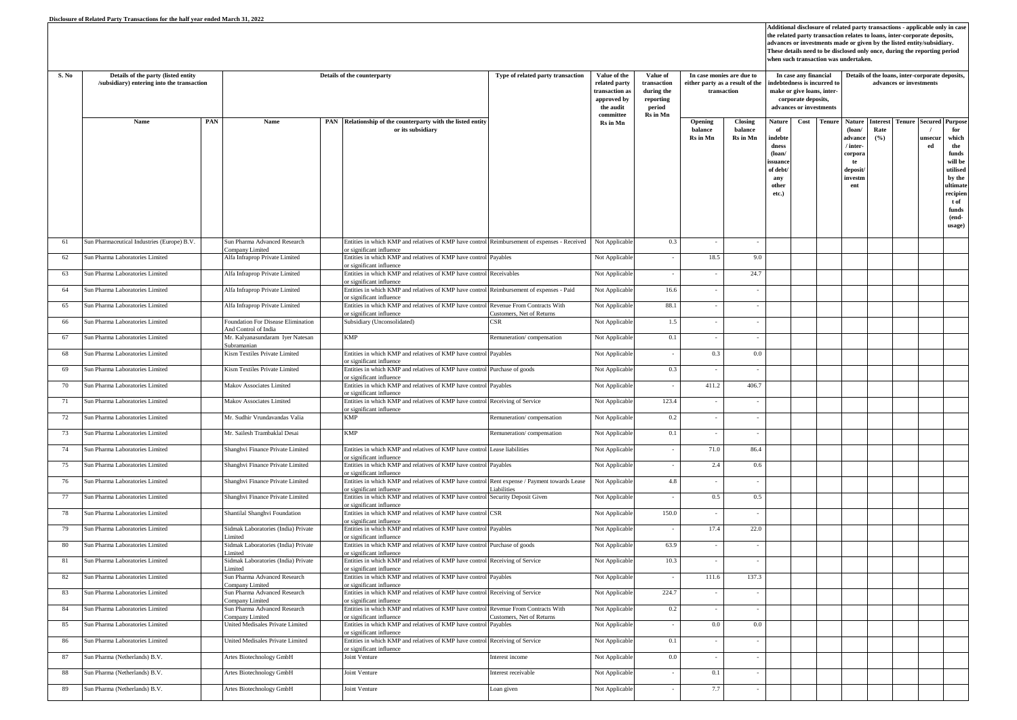| S. No | Details of the party (listed entity<br>/subsidiary) entering into the transaction |     | Details of the counterparty                              |  |                                                                                                                     | Type of related party transaction | Value of the<br>related party<br>ransaction as<br>approved by<br>the audit | Value of<br>transaction<br>during the<br>reporting<br>period | In case monies are due to<br>either party as a result of the<br>transaction |                                | In case any financial<br>ndebtedness is incurred to<br>make or give loans, inter-<br>corporate deposits,<br>advances or investments |      | Details of the loans, inter-corporate deposits,<br>advances or investments |                                                                                             |                         |               |                              |                                                                                                                                          |  |
|-------|-----------------------------------------------------------------------------------|-----|----------------------------------------------------------|--|---------------------------------------------------------------------------------------------------------------------|-----------------------------------|----------------------------------------------------------------------------|--------------------------------------------------------------|-----------------------------------------------------------------------------|--------------------------------|-------------------------------------------------------------------------------------------------------------------------------------|------|----------------------------------------------------------------------------|---------------------------------------------------------------------------------------------|-------------------------|---------------|------------------------------|------------------------------------------------------------------------------------------------------------------------------------------|--|
|       | Name                                                                              | PAN | Name                                                     |  | PAN Relationship of the counterparty with the listed entity<br>or its subsidiary                                    |                                   | $\mathbf{commit}$<br>Rs in Mn                                              | Rs in Mn                                                     | Opening<br>balance<br>Rs in Mn                                              | Closing<br>balance<br>Rs in Mn | Nature<br>of<br>indebte<br>dness<br>$($ loan $/$<br>ssuanc<br>of debt<br>any<br>other<br>etc.)                                      | Cost | Tenure                                                                     | Nature<br>$($ loan $/$<br>advance<br>/ inter-<br>corpor:<br>te<br>deposit<br>investm<br>ent | Interest<br>Rate<br>(%) | <b>Tenure</b> | unsecur<br>${\bf e} {\bf d}$ | <b>Secured Purpose</b><br>for<br>which<br>the<br>funds<br>will be<br>utilised<br>by the<br>ultimat<br>recipien<br>t of<br>funds<br>(end- |  |
| 61    | Sun Pharmaceutical Industries (Europe) B.V.                                       |     | Sun Pharma Advanced Research                             |  | Entities in which KMP and relatives of KMP have control Reimbursement of expenses - Received                        |                                   | Not Applicable                                                             | 0.3                                                          |                                                                             |                                |                                                                                                                                     |      |                                                                            |                                                                                             |                         |               |                              | usage)                                                                                                                                   |  |
| 62    | Sun Pharma Laboratories Limited                                                   |     | Company Limited<br>Alfa Infraprop Private Limited        |  | or significant influence<br>Entities in which KMP and relatives of KMP have control Payables                        |                                   | Not Applicable                                                             |                                                              | 18.5                                                                        | 9.0                            |                                                                                                                                     |      |                                                                            |                                                                                             |                         |               |                              |                                                                                                                                          |  |
| 63    | Sun Pharma Laboratories Limited                                                   |     | Alfa Infraprop Private Limited                           |  | or significant influence<br>Entities in which KMP and relatives of KMP have control                                 | Receivables                       | Not Applicable                                                             |                                                              | $\sim$                                                                      | 24.7                           |                                                                                                                                     |      |                                                                            |                                                                                             |                         |               |                              |                                                                                                                                          |  |
| 64    | Sun Pharma Laboratories Limited                                                   |     | Alfa Infraprop Private Limited                           |  | r significant influence<br>Entities in which KMP and relatives of KMP have control Reimbursement of expenses - Paid |                                   | Not Applicable                                                             | 16.6                                                         |                                                                             |                                |                                                                                                                                     |      |                                                                            |                                                                                             |                         |               |                              |                                                                                                                                          |  |
| 65    | Sun Pharma Laboratories Limited                                                   |     | Alfa Infraprop Private Limited                           |  | r significant influence<br>Entities in which KMP and relatives of KMP have control Revenue From Contracts With      |                                   | Not Applicable                                                             | 88.1                                                         |                                                                             |                                |                                                                                                                                     |      |                                                                            |                                                                                             |                         |               |                              |                                                                                                                                          |  |
| 66    | Sun Pharma Laboratories Limited                                                   |     | Foundation For Disease Elimination                       |  | or significant influence<br>Subsidiary (Unconsolidated)                                                             | Customers, Net of Returns<br>CSR  | Not Applicable                                                             | 1.5                                                          |                                                                             |                                |                                                                                                                                     |      |                                                                            |                                                                                             |                         |               |                              |                                                                                                                                          |  |
| 67    | Sun Pharma Laboratories Limited                                                   |     | And Control of India<br>Mr. Kalyanasundaram Iyer Natesan |  | <b>KMP</b>                                                                                                          | Remuneration/compensation         | Not Applicable                                                             | 0.1                                                          | ×                                                                           |                                |                                                                                                                                     |      |                                                                            |                                                                                             |                         |               |                              |                                                                                                                                          |  |
|       |                                                                                   |     | Subramanian                                              |  |                                                                                                                     |                                   |                                                                            |                                                              |                                                                             |                                |                                                                                                                                     |      |                                                                            |                                                                                             |                         |               |                              |                                                                                                                                          |  |
| 68    | Sun Pharma Laboratories Limited                                                   |     | Kism Textiles Private Limited                            |  | Entities in which KMP and relatives of KMP have control<br>or significant influence                                 | Payables                          | Not Applicable                                                             |                                                              | 0.3                                                                         | 0.0                            |                                                                                                                                     |      |                                                                            |                                                                                             |                         |               |                              |                                                                                                                                          |  |
| 69    | Sun Pharma Laboratories Limited                                                   |     | Kism Textiles Private Limited                            |  | Entities in which KMP and relatives of KMP have control Purchase of goods<br>or significant influence               |                                   | Not Applicable                                                             | 0.3                                                          |                                                                             |                                |                                                                                                                                     |      |                                                                            |                                                                                             |                         |               |                              |                                                                                                                                          |  |
| 70    | Sun Pharma Laboratories Limited                                                   |     | Makov Associates Limited                                 |  | Entities in which KMP and relatives of KMP have control<br>or significant influence                                 | Payables                          | Not Applicable                                                             |                                                              | 411.2                                                                       | 406.7                          |                                                                                                                                     |      |                                                                            |                                                                                             |                         |               |                              |                                                                                                                                          |  |
| 71    | Sun Pharma Laboratories Limited                                                   |     | Makov Associates Limited                                 |  | Entities in which KMP and relatives of KMP have control Receiving of Service<br>or significant influence            |                                   | Not Applicable                                                             | 123.4                                                        |                                                                             |                                |                                                                                                                                     |      |                                                                            |                                                                                             |                         |               |                              |                                                                                                                                          |  |
| 72    | Sun Pharma Laboratories Limited                                                   |     | Mr. Sudhir Vrundavandas Valia                            |  | <b>KMP</b>                                                                                                          | Remuneration/compensation         | Not Applicable                                                             | 0.2                                                          | ×                                                                           |                                |                                                                                                                                     |      |                                                                            |                                                                                             |                         |               |                              |                                                                                                                                          |  |
| 73    | Sun Pharma Laboratories Limited                                                   |     | Mr. Sailesh Trambaklal Desai                             |  | <b>KMP</b>                                                                                                          | Remuneration/compensation         | Not Applicable                                                             | 0.1                                                          |                                                                             |                                |                                                                                                                                     |      |                                                                            |                                                                                             |                         |               |                              |                                                                                                                                          |  |
| 74    | Sun Pharma Laboratories Limited                                                   |     | Shanghvi Finance Private Limited                         |  | Entities in which KMP and relatives of KMP have control Lease liabilities                                           |                                   | Not Applicable                                                             |                                                              | 71.0                                                                        | 86.4                           |                                                                                                                                     |      |                                                                            |                                                                                             |                         |               |                              |                                                                                                                                          |  |
| 75    | Sun Pharma Laboratories Limited                                                   |     | Shanghvi Finance Private Limited                         |  | r significant influence<br>Entities in which KMP and relatives of KMP have control<br>or significant influence      | Payables                          | Not Applicable                                                             |                                                              | 2.4                                                                         | 0.6                            |                                                                                                                                     |      |                                                                            |                                                                                             |                         |               |                              |                                                                                                                                          |  |
| 76    | Sun Pharma Laboratories Limited                                                   |     | Shanghvi Finance Private Limited                         |  | Entities in which KMP and relatives of KMP have control Rent expense / Payment towards Lease                        |                                   | Not Applicable                                                             | 4.8                                                          |                                                                             |                                |                                                                                                                                     |      |                                                                            |                                                                                             |                         |               |                              |                                                                                                                                          |  |
| 77    | Sun Pharma Laboratories Limited                                                   |     | Shanghvi Finance Private Limited                         |  | or significant influence<br>Entities in which KMP and relatives of KMP have control Security Deposit Given          | Liabilities                       | Not Applicable                                                             |                                                              | $0.5\,$                                                                     | 0.5                            |                                                                                                                                     |      |                                                                            |                                                                                             |                         |               |                              |                                                                                                                                          |  |
| 78    | Sun Pharma Laboratories Limited                                                   |     | Shantilal Shanghvi Foundation                            |  | or significant influence.<br>Entities in which KMP and relatives of KMP have control CSR                            |                                   | Not Applicable                                                             | 150.0                                                        |                                                                             |                                |                                                                                                                                     |      |                                                                            |                                                                                             |                         |               |                              |                                                                                                                                          |  |
| 79    | Sun Pharma Laboratories Limited                                                   |     | Sidmak Laboratories (India) Private                      |  | r significant influence<br>Entities in which KMP and relatives of KMP have control Payables                         |                                   | Not Applicable                                                             |                                                              | 17.4                                                                        | 22.0                           |                                                                                                                                     |      |                                                                            |                                                                                             |                         |               |                              |                                                                                                                                          |  |
| 80    | Sun Pharma Laboratories Limited                                                   |     | imited<br>Sidmak Laboratories (India) Private            |  | r significant influence<br>Entities in which KMP and relatives of KMP have control                                  | Purchase of goods                 | Not Applicable                                                             | 63.9                                                         |                                                                             |                                |                                                                                                                                     |      |                                                                            |                                                                                             |                         |               |                              |                                                                                                                                          |  |
| 81    | Sun Pharma Laboratories Limited                                                   |     | imited<br>Sidmak Laboratories (India) Private            |  | or significant influence<br>Entities in which KMP and relatives of KMP have control Receiving of Service            |                                   | Not Applicable                                                             | 10.3                                                         |                                                                             | ÷,                             |                                                                                                                                     |      |                                                                            |                                                                                             |                         |               |                              |                                                                                                                                          |  |
| 82    | Sun Pharma Laboratories Limited                                                   |     | imited<br>Sun Pharma Advanced Research                   |  | or significant influence<br>Entities in which KMP and relatives of KMP have control                                 | Payables                          | Not Applicable                                                             |                                                              | 111.6                                                                       | 137.3                          |                                                                                                                                     |      |                                                                            |                                                                                             |                         |               |                              |                                                                                                                                          |  |
| 83    | Sun Pharma Laboratories Limited                                                   |     | Company Limited<br>Sun Pharma Advanced Research          |  | or significant influence.<br>Entities in which KMP and relatives of KMP have control Receiving of Service           |                                   | Not Applicable                                                             | 224.7                                                        |                                                                             |                                |                                                                                                                                     |      |                                                                            |                                                                                             |                         |               |                              |                                                                                                                                          |  |
|       |                                                                                   |     | Company Limited                                          |  | r significant influence                                                                                             |                                   |                                                                            |                                                              |                                                                             |                                |                                                                                                                                     |      |                                                                            |                                                                                             |                         |               |                              |                                                                                                                                          |  |
| 84    | Sun Pharma Laboratories Limited                                                   |     | Sun Pharma Advanced Research<br>Company Limited          |  | Entities in which KMP and relatives of KMP have control Revenue From Contracts With<br>or significant influence     | Customers, Net of Returns         | Not Applicable                                                             | 0.2                                                          |                                                                             |                                |                                                                                                                                     |      |                                                                            |                                                                                             |                         |               |                              |                                                                                                                                          |  |
| 85    | Sun Pharma Laboratories Limited                                                   |     | United Medisales Private Limited                         |  | Entities in which KMP and relatives of KMP have control<br>or significant influence                                 | Payables                          | Not Applicable                                                             |                                                              | 0.0                                                                         | 0.0                            |                                                                                                                                     |      |                                                                            |                                                                                             |                         |               |                              |                                                                                                                                          |  |
| 86    | Sun Pharma Laboratories Limited                                                   |     | United Medisales Private Limited                         |  | Entities in which KMP and relatives of KMP have control Receiving of Service<br>or significant influence            |                                   | Not Applicable                                                             | 0.1                                                          | ÷,                                                                          |                                |                                                                                                                                     |      |                                                                            |                                                                                             |                         |               |                              |                                                                                                                                          |  |
| 87    | Sun Pharma (Netherlands) B.V.                                                     |     | Artes Biotechnology GmbH                                 |  | <b>Joint Venture</b>                                                                                                | nterest income                    | Not Applicable                                                             | 0.0                                                          | $\overline{\phantom{a}}$                                                    |                                |                                                                                                                                     |      |                                                                            |                                                                                             |                         |               |                              |                                                                                                                                          |  |
| 88    | Sun Pharma (Netherlands) B.V.                                                     |     | Artes Biotechnology GmbH                                 |  | oint Venture                                                                                                        | nterest receivable                | Not Applicable                                                             |                                                              | 0.1                                                                         |                                |                                                                                                                                     |      |                                                                            |                                                                                             |                         |               |                              |                                                                                                                                          |  |
| 89    | Sun Pharma (Netherlands) B.V.                                                     |     | Artes Biotechnology GmbH                                 |  | Joint Venture                                                                                                       | Loan given                        | Not Applicable                                                             | ×.                                                           | 7.7                                                                         | $\overline{\phantom{a}}$       |                                                                                                                                     |      |                                                                            |                                                                                             |                         |               |                              |                                                                                                                                          |  |